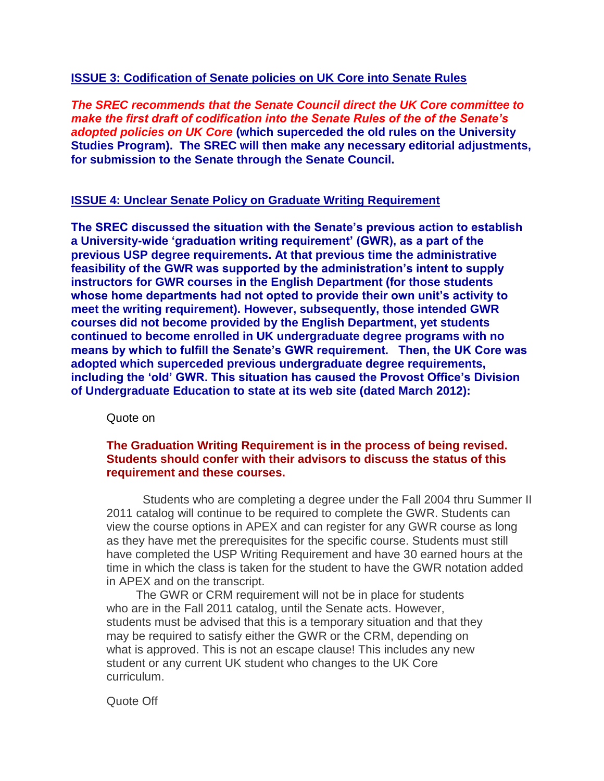## **ISSUE 3: Codification of Senate policies on UK Core into Senate Rules**

*The SREC recommends that the Senate Council direct the UK Core committee to make the first draft of codification into the Senate Rules of the of the Senate"s adopted policies on UK Core* **(which superceded the old rules on the University Studies Program). The SREC will then make any necessary editorial adjustments, for submission to the Senate through the Senate Council.**

### **ISSUE 4: Unclear Senate Policy on Graduate Writing Requirement**

**The SREC discussed the situation with the Senate"s previous action to establish a University-wide "graduation writing requirement" (GWR), as a part of the previous USP degree requirements. At that previous time the administrative feasibility of the GWR was supported by the administration"s intent to supply instructors for GWR courses in the English Department (for those students whose home departments had not opted to provide their own unit"s activity to meet the writing requirement). However, subsequently, those intended GWR courses did not become provided by the English Department, yet students continued to become enrolled in UK undergraduate degree programs with no means by which to fulfill the Senate"s GWR requirement. Then, the UK Core was adopted which superceded previous undergraduate degree requirements, including the "old" GWR. This situation has caused the Provost Office"s Division of Undergraduate Education to state at its web site (dated March 2012):**

Quote on

## **The Graduation Writing Requirement is in the process of being revised. Students should confer with their advisors to discuss the status of this requirement and these courses.**

 Students who are completing a degree under the Fall 2004 thru Summer II 2011 catalog will continue to be required to complete the GWR. Students can view the course options in APEX and can register for any GWR course as long as they have met the prerequisites for the specific course. Students must still have completed the USP Writing Requirement and have 30 earned hours at the time in which the class is taken for the student to have the GWR notation added in APEX and on the transcript.

 The GWR or CRM requirement will not be in place for students who are in the Fall 2011 catalog, until the Senate acts. However, students must be advised that this is a temporary situation and that they may be required to satisfy either the GWR or the CRM, depending on what is approved. This is not an escape clause! This includes any new student or any current UK student who changes to the UK Core curriculum.

Quote Off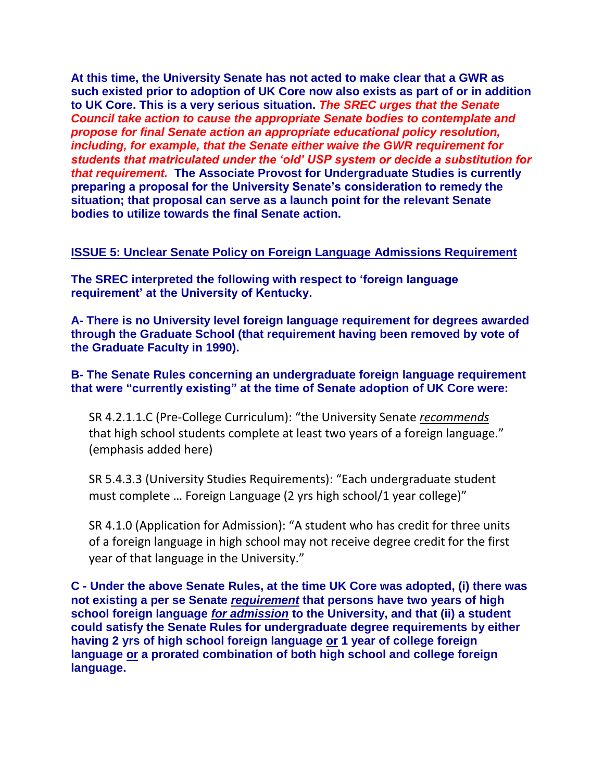**At this time, the University Senate has not acted to make clear that a GWR as such existed prior to adoption of UK Core now also exists as part of or in addition to UK Core. This is a very serious situation.** *The SREC urges that the Senate Council take action to cause the appropriate Senate bodies to contemplate and propose for final Senate action an appropriate educational policy resolution, including, for example, that the Senate either waive the GWR requirement for students that matriculated under the "old" USP system or decide a substitution for that requirement.* **The Associate Provost for Undergraduate Studies is currently preparing a proposal for the University Senate"s consideration to remedy the situation; that proposal can serve as a launch point for the relevant Senate bodies to utilize towards the final Senate action.** 

## **ISSUE 5: Unclear Senate Policy on Foreign Language Admissions Requirement**

**The SREC interpreted the following with respect to "foreign language requirement" at the University of Kentucky.**

**A- There is no University level foreign language requirement for degrees awarded through the Graduate School (that requirement having been removed by vote of the Graduate Faculty in 1990).**

**B- The Senate Rules concerning an undergraduate foreign language requirement that were "currently existing" at the time of Senate adoption of UK Core were:** 

SR 4.2.1.1.C (Pre-College Curriculum): "the University Senate *recommends* that high school students complete at least two years of a foreign language." (emphasis added here)

SR 5.4.3.3 (University Studies Requirements): "Each undergraduate student must complete … Foreign Language (2 yrs high school/1 year college)"

SR 4.1.0 (Application for Admission): "A student who has credit for three units of a foreign language in high school may not receive degree credit for the first year of that language in the University."

**C - Under the above Senate Rules, at the time UK Core was adopted, (i) there was not existing a per se Senate** *requirement* **that persons have two years of high school foreign language** *for admission* **to the University, and that (ii) a student could satisfy the Senate Rules for undergraduate degree requirements by either having 2 yrs of high school foreign language or 1 year of college foreign language or a prorated combination of both high school and college foreign language.**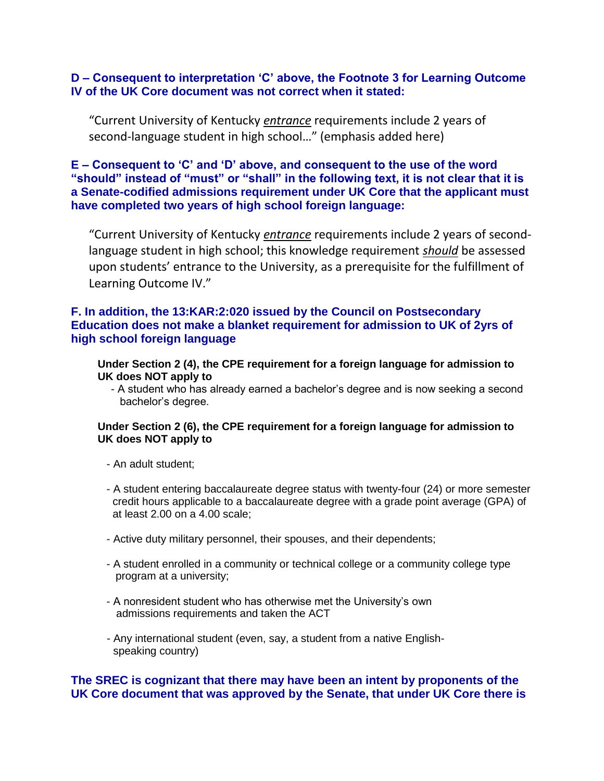## **D – Consequent to interpretation "C" above, the Footnote 3 for Learning Outcome IV of the UK Core document was not correct when it stated:**

"Current University of Kentucky *entrance* requirements include 2 years of second-language student in high school…" (emphasis added here)

# **E – Consequent to "C" and "D" above, and consequent to the use of the word "should" instead of "must" or "shall" in the following text, it is not clear that it is a Senate-codified admissions requirement under UK Core that the applicant must have completed two years of high school foreign language:**

"Current University of Kentucky *entrance* requirements include 2 years of secondlanguage student in high school; this knowledge requirement *should* be assessed upon students' entrance to the University, as a prerequisite for the fulfillment of Learning Outcome IV."

### **F. In addition, the 13:KAR:2:020 issued by the Council on Postsecondary Education does not make a blanket requirement for admission to UK of 2yrs of high school foreign language**

#### **Under Section 2 (4), the CPE requirement for a foreign language for admission to UK does NOT apply to**

- A student who has already earned a bachelor's degree and is now seeking a second bachelor's degree.

### **Under Section 2 (6), the CPE requirement for a foreign language for admission to UK does NOT apply to**

- An adult student;
- A student entering baccalaureate degree status with twenty-four (24) or more semester credit hours applicable to a baccalaureate degree with a grade point average (GPA) of at least 2.00 on a 4.00 scale;
- Active duty military personnel, their spouses, and their dependents;
- A student enrolled in a community or technical college or a community college type program at a university;
- A nonresident student who has otherwise met the University's own admissions requirements and taken the ACT
- Any international student (even, say, a student from a native English speaking country)

## **The SREC is cognizant that there may have been an intent by proponents of the UK Core document that was approved by the Senate, that under UK Core there is**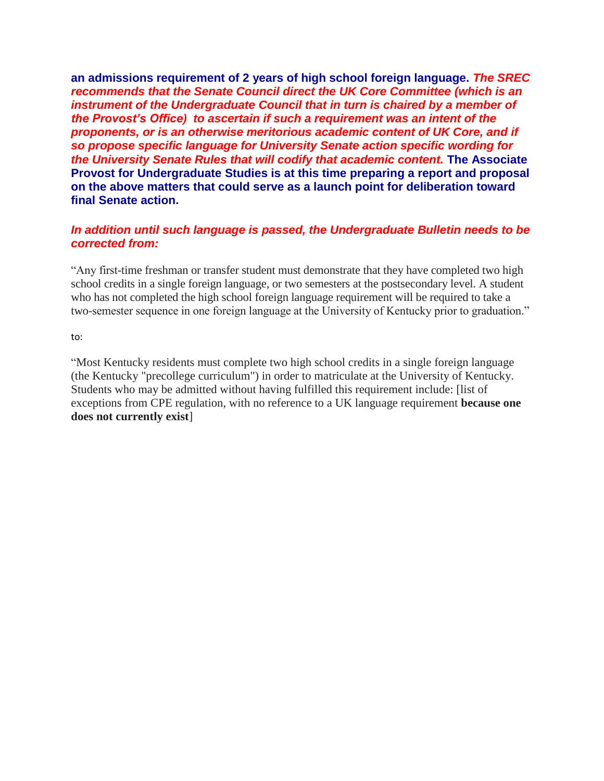**an admissions requirement of 2 years of high school foreign language.** *The SREC recommends that the Senate Council direct the UK Core Committee (which is an instrument of the Undergraduate Council that in turn is chaired by a member of the Provost"s Office) to ascertain if such a requirement was an intent of the proponents, or is an otherwise meritorious academic content of UK Core, and if so propose specific language for University Senate action specific wording for the University Senate Rules that will codify that academic content.* **The Associate Provost for Undergraduate Studies is at this time preparing a report and proposal on the above matters that could serve as a launch point for deliberation toward final Senate action.**

# *In addition until such language is passed, the Undergraduate Bulletin needs to be corrected from:*

"Any first-time freshman or transfer student must demonstrate that they have completed two high school credits in a single foreign language, or two semesters at the postsecondary level. A student who has not completed the high school foreign language requirement will be required to take a two-semester sequence in one foreign language at the University of Kentucky prior to graduation."

to:

"Most Kentucky residents must complete two high school credits in a single foreign language (the Kentucky "precollege curriculum") in order to matriculate at the University of Kentucky. Students who may be admitted without having fulfilled this requirement include: [list of exceptions from CPE regulation, with no reference to a UK language requirement **because one does not currently exist**]